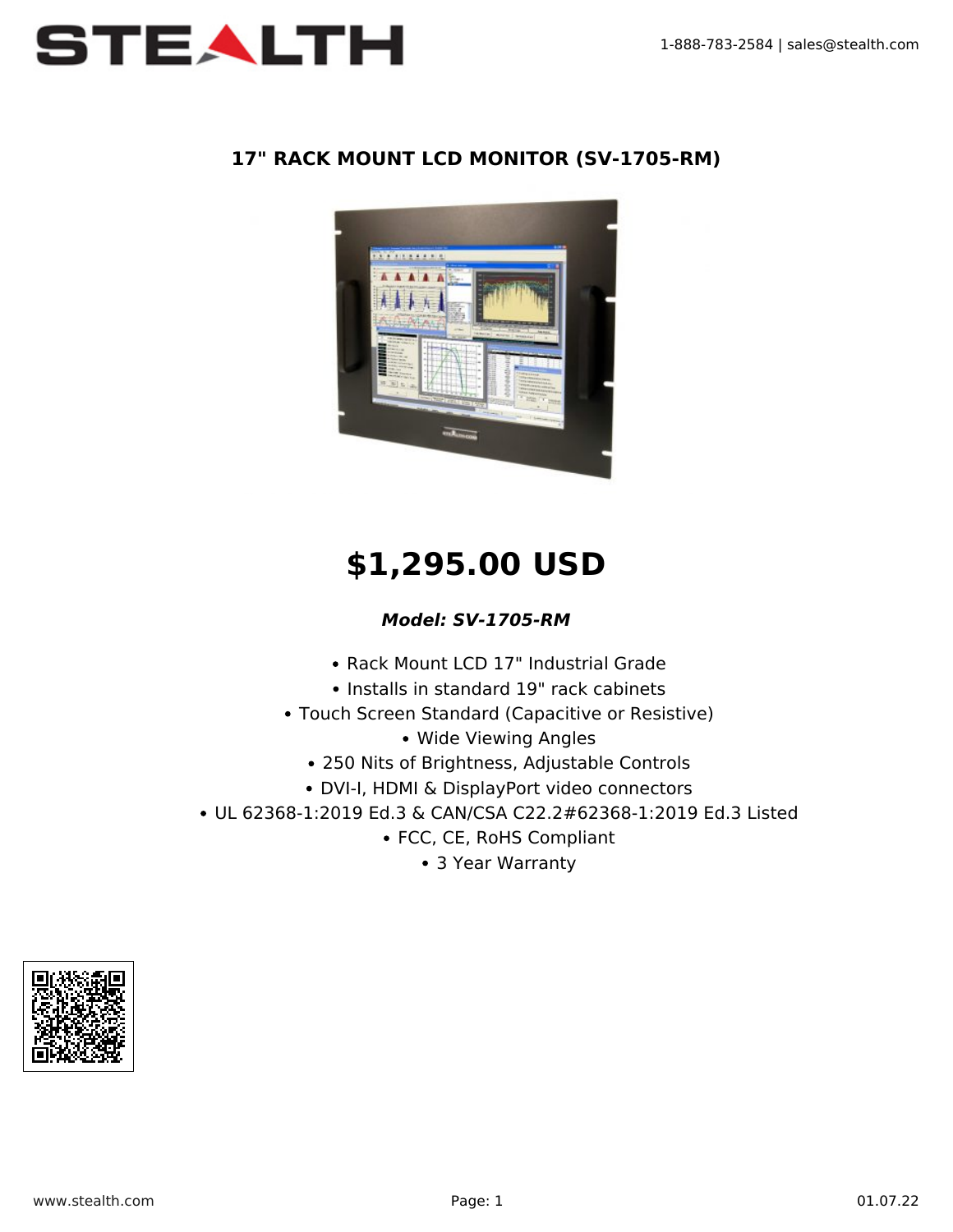

#### **17" RACK MOUNT LCD MONITOR (SV-1705-RM)**



# **\$1,295.00 USD**

### *Model: SV-1705-RM*

- Rack Mount LCD 17" Industrial Grade
- Installs in standard 19" rack cabinets
- Touch Screen Standard (Capacitive or Resistive)
	- Wide Viewing Angles
	- 250 Nits of Brightness, Adjustable Controls
	- DVI-I, HDMI & DisplayPort video connectors
- UL 62368-1:2019 Ed.3 & CAN/CSA C22.2#62368-1:2019 Ed.3 Listed
	- FCC, CE, RoHS Compliant
		- 3 Year Warranty

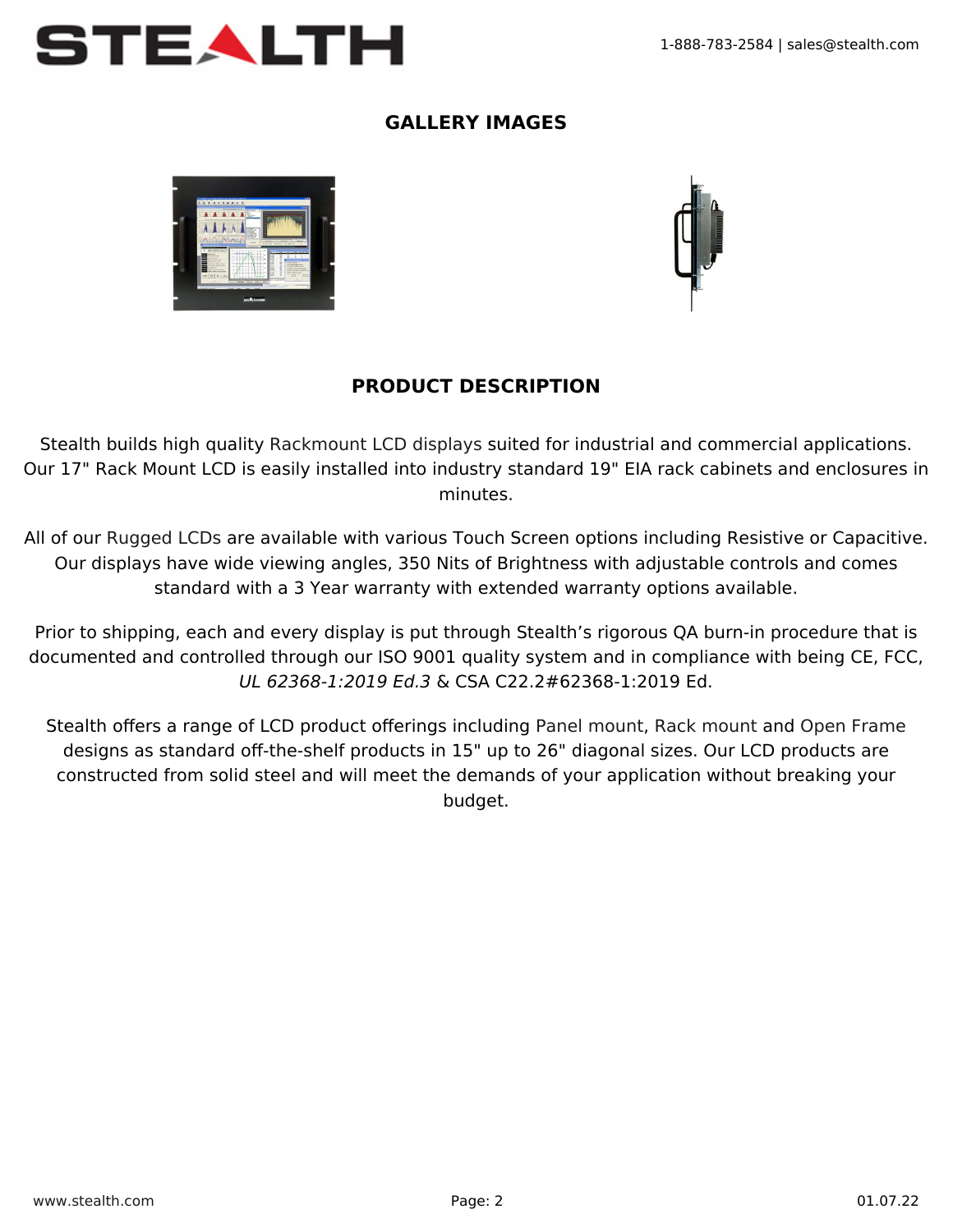

### **GALLERY IMAGES**





## **PRODUCT DESCRIPTION**

Stealth builds high quality [Rackmount LCD displays](https://www.stealth.com/ruggedlcds/rackmountlcds/) suited for industrial and commercial applications. Our 17" Rack Mount LCD is easily installed into industry standard 19" EIA rack cabinets and enclosures in minutes.

All of our [Rugged LCDs](https://www.stealth.com/ruggedlcds/) are available with various Touch Screen options including Resistive or Capacitive. Our displays have wide viewing angles, 350 Nits of Brightness with adjustable controls and comes standard with a 3 Year warranty with extended warranty options available.

Prior to shipping, each and every display is put through Stealth's rigorous QA burn-in procedure that is documented and controlled through our ISO 9001 quality system and in compliance with being CE, FCC, UL 62368-1:2019 Ed.3 & CSA C22.2#62368-1:2019 Ed.

Stealth offers a range of LCD product offerings including [Panel mount,](https://www.stealth.com/ruggedlcds/panelmountlcd/) [Rack mount](https://www.stealth.com/ruggedlcds/rackmountlcds/) and [Open Frame](https://www.stealth.com/ruggedlcds/openframelcds/) designs as standard off-the-shelf products in 15" up to 26" diagonal sizes. Our LCD products are constructed from solid steel and will meet the demands of your application without breaking your budget.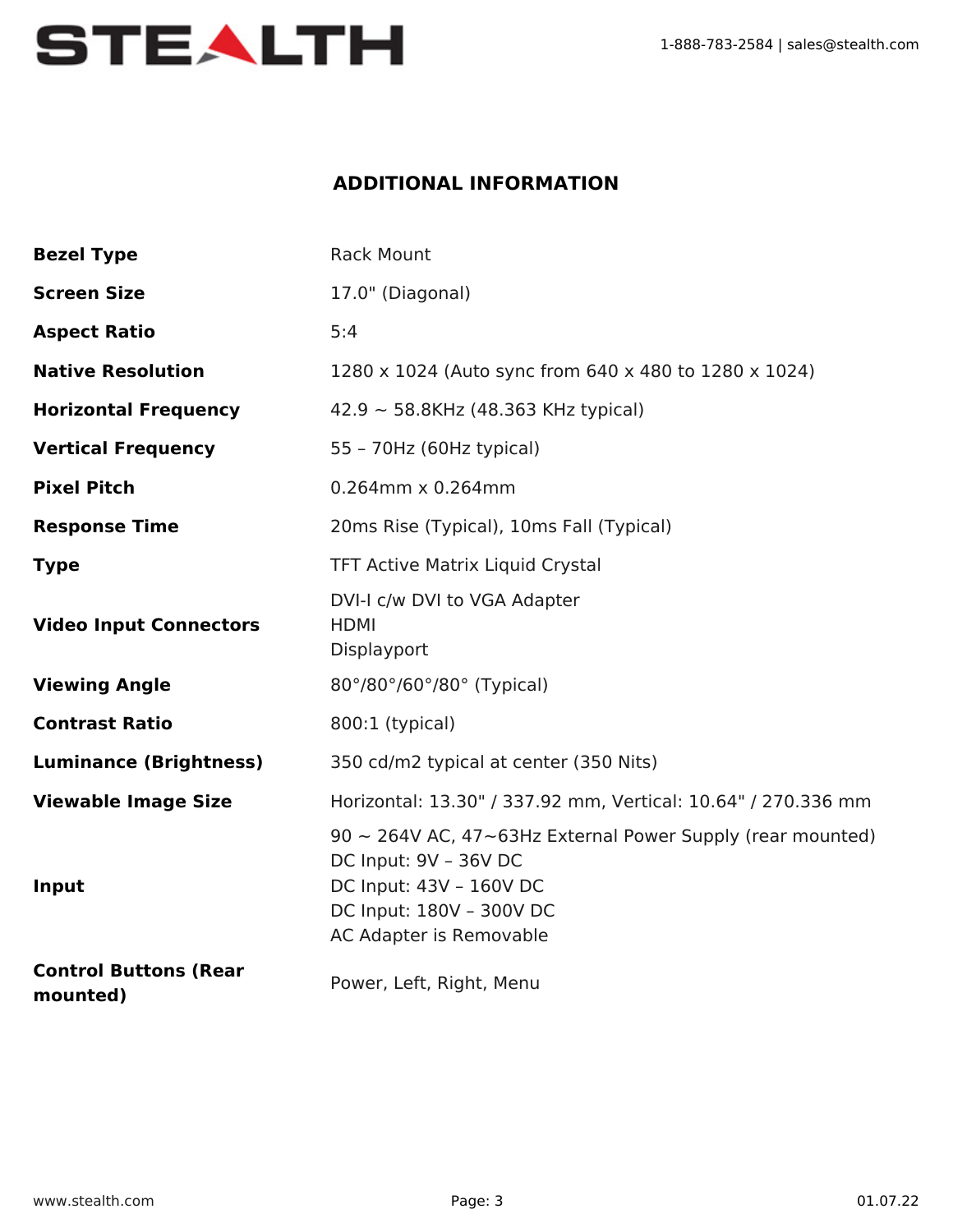

### **ADDITIONAL INFORMATION**

| <b>Bezel Type</b>                        | <b>Rack Mount</b>                                                                                                                                                           |
|------------------------------------------|-----------------------------------------------------------------------------------------------------------------------------------------------------------------------------|
| <b>Screen Size</b>                       | 17.0" (Diagonal)                                                                                                                                                            |
| <b>Aspect Ratio</b>                      | 5:4                                                                                                                                                                         |
| <b>Native Resolution</b>                 | 1280 x 1024 (Auto sync from 640 x 480 to 1280 x 1024)                                                                                                                       |
| <b>Horizontal Frequency</b>              | $42.9 \sim 58.8$ KHz (48.363 KHz typical)                                                                                                                                   |
| <b>Vertical Frequency</b>                | 55 - 70Hz (60Hz typical)                                                                                                                                                    |
| <b>Pixel Pitch</b>                       | 0.264mm x 0.264mm                                                                                                                                                           |
| <b>Response Time</b>                     | 20ms Rise (Typical), 10ms Fall (Typical)                                                                                                                                    |
| <b>Type</b>                              | <b>TFT Active Matrix Liquid Crystal</b>                                                                                                                                     |
| <b>Video Input Connectors</b>            | DVI-I c/w DVI to VGA Adapter<br><b>HDMI</b><br>Displayport                                                                                                                  |
| <b>Viewing Angle</b>                     | 80°/80°/60°/80° (Typical)                                                                                                                                                   |
| <b>Contrast Ratio</b>                    | 800:1 (typical)                                                                                                                                                             |
| <b>Luminance (Brightness)</b>            | 350 cd/m2 typical at center (350 Nits)                                                                                                                                      |
| <b>Viewable Image Size</b>               | Horizontal: 13.30" / 337.92 mm, Vertical: 10.64" / 270.336 mm                                                                                                               |
| Input                                    | $90 \sim 264$ V AC, 47~63Hz External Power Supply (rear mounted)<br>DC Input: 9V - 36V DC<br>DC Input: 43V - 160V DC<br>DC Input: 180V - 300V DC<br>AC Adapter is Removable |
| <b>Control Buttons (Rear</b><br>mounted) | Power, Left, Right, Menu                                                                                                                                                    |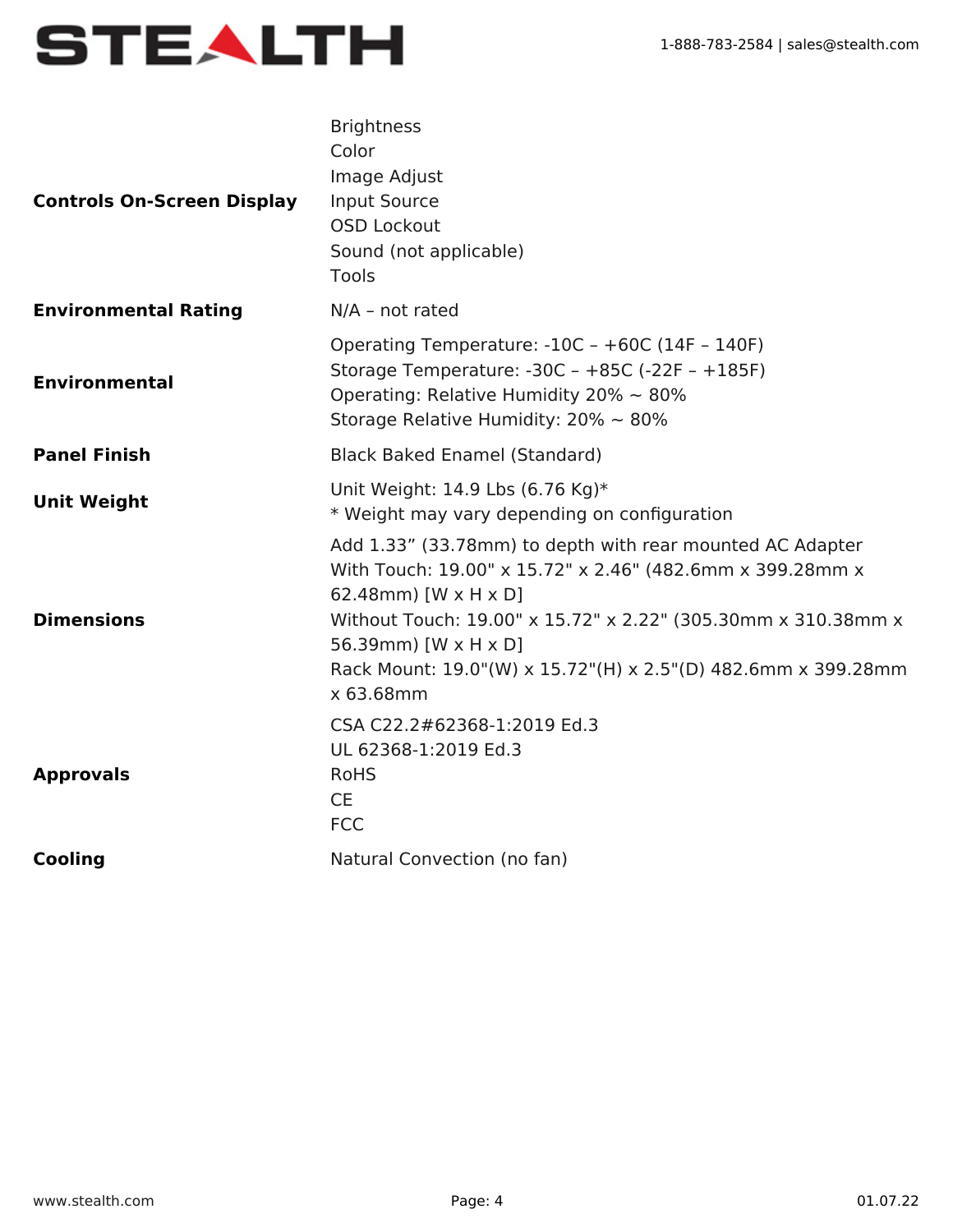

| <b>Controls On-Screen Display</b> | <b>Brightness</b><br>Color<br>Image Adjust<br>Input Source<br><b>OSD Lockout</b><br>Sound (not applicable)<br>Tools                                                                                                                                                                                                   |
|-----------------------------------|-----------------------------------------------------------------------------------------------------------------------------------------------------------------------------------------------------------------------------------------------------------------------------------------------------------------------|
| <b>Environmental Rating</b>       | $N/A$ - not rated                                                                                                                                                                                                                                                                                                     |
| <b>Environmental</b>              | Operating Temperature: -10C - +60C (14F - 140F)<br>Storage Temperature: $-30C - +85C$ ( $-22F - +185F$ )<br>Operating: Relative Humidity 20% $\sim$ 80%<br>Storage Relative Humidity: $20\% \sim 80\%$                                                                                                                |
| <b>Panel Finish</b>               | <b>Black Baked Enamel (Standard)</b>                                                                                                                                                                                                                                                                                  |
| <b>Unit Weight</b>                | Unit Weight: 14.9 Lbs (6.76 Kg)*<br>* Weight may vary depending on configuration                                                                                                                                                                                                                                      |
| <b>Dimensions</b>                 | Add 1.33" (33.78mm) to depth with rear mounted AC Adapter<br>With Touch: 19.00" x 15.72" x 2.46" (482.6mm x 399.28mm x<br>62.48mm) [W x H x D]<br>Without Touch: 19.00" x 15.72" x 2.22" (305.30mm x 310.38mm x<br>56.39mm) [W x H x D]<br>Rack Mount: 19.0"(W) x 15.72"(H) x 2.5"(D) 482.6mm x 399.28mm<br>x 63.68mm |
| <b>Approvals</b>                  | CSA C22.2#62368-1:2019 Ed.3<br>UL 62368-1:2019 Ed.3<br><b>RoHS</b><br><b>CE</b><br><b>FCC</b>                                                                                                                                                                                                                         |
| <b>Cooling</b>                    | Natural Convection (no fan)                                                                                                                                                                                                                                                                                           |